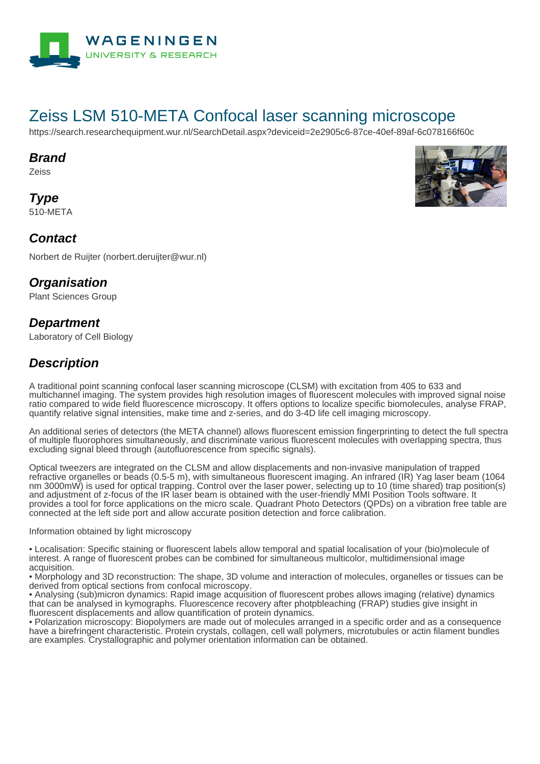

# Zeiss LSM 510-META Confocal laser scanning microscope

https://search.researchequipment.wur.nl/SearchDetail.aspx?deviceid=2e2905c6-87ce-40ef-89af-6c078166f60c

#### **Brand**

Zeiss

**Type** 510-META



### **Contact**

Norbert de Ruijter (norbert.deruijter@wur.nl)

# **Organisation**

Plant Sciences Group

# **Department**

Laboratory of Cell Biology

# **Description**

A traditional point scanning confocal laser scanning microscope (CLSM) with excitation from 405 to 633 and multichannel imaging. The system provides high resolution images of fluorescent molecules with improved signal noise ratio compared to wide field fluorescence microscopy. It offers options to localize specific biomolecules, analyse FRAP, quantify relative signal intensities, make time and z-series, and do 3-4D life cell imaging microscopy.

An additional series of detectors (the META channel) allows fluorescent emission fingerprinting to detect the full spectra of multiple fluorophores simultaneously, and discriminate various fluorescent molecules with overlapping spectra, thus excluding signal bleed through (autofluorescence from specific signals).

Optical tweezers are integrated on the CLSM and allow displacements and non-invasive manipulation of trapped refractive organelles or beads (0.5-5 m), with simultaneous fluorescent imaging. An infrared (IR) Yag laser beam (1064 nm 3000mW) is used for optical trapping. Control over the laser power, selecting up to 10 (time shared) trap position(s) and adjustment of z-focus of the IR laser beam is obtained with the user-friendly MMI Position Tools software. It provides a tool for force applications on the micro scale. Quadrant Photo Detectors (QPDs) on a vibration free table are connected at the left side port and allow accurate position detection and force calibration.

#### Information obtained by light microscopy

• Localisation: Specific staining or fluorescent labels allow temporal and spatial localisation of your (bio)molecule of interest. A range of fluorescent probes can be combined for simultaneous multicolor, multidimensional image acquisition.

• Morphology and 3D reconstruction: The shape, 3D volume and interaction of molecules, organelles or tissues can be derived from optical sections from confocal microscopy.

• Analysing (sub)micron dynamics: Rapid image acquisition of fluorescent probes allows imaging (relative) dynamics that can be analysed in kymographs. Fluorescence recovery after photpbleaching (FRAP) studies give insight in fluorescent displacements and allow quantification of protein dynamics.

• Polarization microscopy: Biopolymers are made out of molecules arranged in a specific order and as a consequence have a birefringent characteristic. Protein crystals, collagen, cell wall polymers, microtubules or actin filament bundles are examples. Crystallographic and polymer orientation information can be obtained.